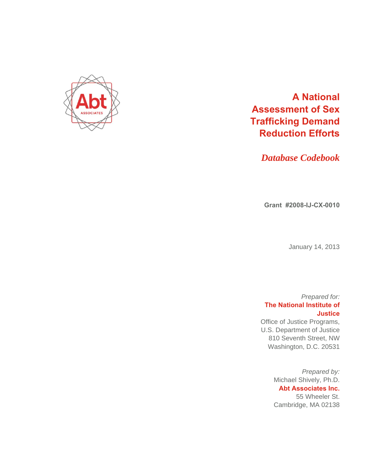

# **A National Assessment of Sex Trafficking Demand Reduction Efforts**

*Database Codebook* 

**Grant #2008-IJ-CX-0010** 

January 14, 2013

# *Prepared for:*  **The National Institute of Justice**

Office of Justice Programs, U.S. Department of Justice 810 Seventh Street, NW Washington, D.C. 20531

> *Prepared by:*  Michael Shively, Ph.D. **Abt Associates Inc.**  55 Wheeler St. Cambridge, MA 02138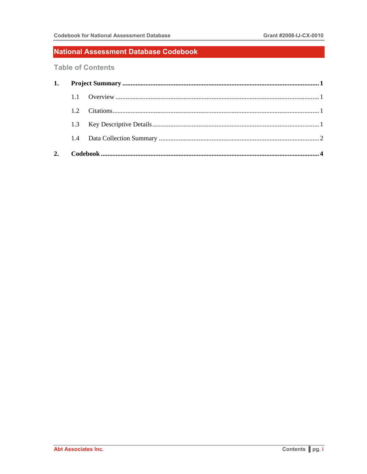### National Assessment Database Codebook

**Table of Contents** 

| $12^{-}$ |  |  |  |
|----------|--|--|--|
|          |  |  |  |
|          |  |  |  |
|          |  |  |  |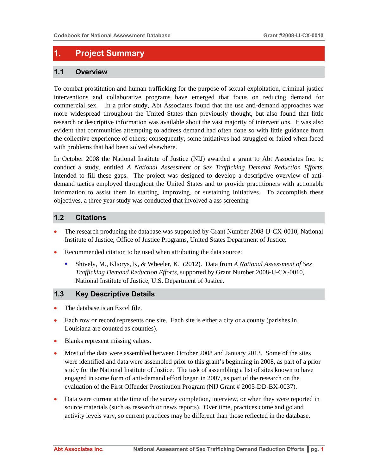# **1. Project Summary**

#### **1.1 Overview**

To combat prostitution and human trafficking for the purpose of sexual exploitation, criminal justice interventions and collaborative programs have emerged that focus on reducing demand for commercial sex. In a prior study, Abt Associates found that the use anti-demand approaches was more widespread throughout the United States than previously thought, but also found that little research or descriptive information was available about the vast majority of interventions. It was also evident that communities attempting to address demand had often done so with little guidance from the collective experience of others; consequently, some initiatives had struggled or failed when faced with problems that had been solved elsewhere.

In October 2008 the National Institute of Justice (NIJ) awarded a grant to Abt Associates Inc. to conduct a study, entitled *A National Assessment of Sex Trafficking Demand Reduction Efforts*, intended to fill these gaps. The project was designed to develop a descriptive overview of antidemand tactics employed throughout the United States and to provide practitioners with actionable information to assist them in starting, improving, or sustaining initiatives. To accomplish these objectives, a three year study was conducted that involved a ass screening

#### **1.2 Citations**

- The research producing the database was supported by Grant Number 2008-IJ-CX-0010, National Institute of Justice, Office of Justice Programs, United States Department of Justice.
- Recommended citation to be used when attributing the data source:
	- Shively, M., Kliorys, K, & Wheeler, K. (2012). Data from *A National Assessment of Sex Trafficking Demand Reduction Efforts*, supported by Grant Number 2008-IJ-CX-0010, National Institute of Justice, U.S. Department of Justice.

#### **1.3 Key Descriptive Details**

- The database is an Excel file.
- Each row or record represents one site. Each site is either a city or a county (parishes in Louisiana are counted as counties).
- Blanks represent missing values.
- Most of the data were assembled between October 2008 and January 2013. Some of the sites were identified and data were assembled prior to this grant's beginning in 2008, as part of a prior study for the National Institute of Justice. The task of assembling a list of sites known to have engaged in some form of anti-demand effort began in 2007, as part of the research on the evaluation of the First Offender Prostitution Program (NIJ Grant # 2005-DD-BX-0037).
- Data were current at the time of the survey completion, interview, or when they were reported in source materials (such as research or news reports). Over time, practices come and go and activity levels vary, so current practices may be different than those reflected in the database.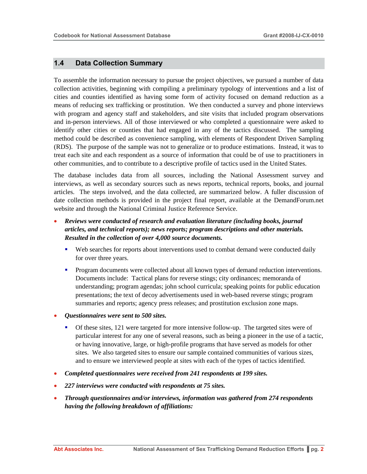#### **1.4 Data Collection Summary**

To assemble the information necessary to pursue the project objectives, we pursued a number of data collection activities, beginning with compiling a preliminary typology of interventions and a list of cities and counties identified as having some form of activity focused on demand reduction as a means of reducing sex trafficking or prostitution. We then conducted a survey and phone interviews with program and agency staff and stakeholders, and site visits that included program observations and in-person interviews. All of those interviewed or who completed a questionnaire were asked to identify other cities or counties that had engaged in any of the tactics discussed. The sampling method could be described as convenience sampling, with elements of Respondent Driven Sampling (RDS). The purpose of the sample was not to generalize or to produce estimations. Instead, it was to treat each site and each respondent as a source of information that could be of use to practitioners in other communities, and to contribute to a descriptive profile of tactics used in the United States.

The database includes data from all sources, including the National Assessment survey and interviews, as well as secondary sources such as news reports, technical reports, books, and journal articles. The steps involved, and the data collected, are summarized below. A fuller discussion of date collection methods is provided in the project final report, available at the DemandForum.net website and through the National Criminal Justice Reference Service.

- *Reviews were conducted of research and evaluation literature (including books, journal articles, and technical reports); news reports; program descriptions and other materials. Resulted in the collection of over 4,000 source documents.* 
	- Web searches for reports about interventions used to combat demand were conducted daily for over three years.
	- **Program documents were collected about all known types of demand reduction interventions.** Documents include: Tactical plans for reverse stings; city ordinances; memoranda of understanding; program agendas; john school curricula; speaking points for public education presentations; the text of decoy advertisements used in web-based reverse stings; program summaries and reports; agency press releases; and prostitution exclusion zone maps.
- *Questionnaires were sent to 500 sites.* 
	- Of these sites, 121 were targeted for more intensive follow-up. The targeted sites were of particular interest for any one of several reasons, such as being a pioneer in the use of a tactic, or having innovative, large, or high-profile programs that have served as models for other sites. We also targeted sites to ensure our sample contained communities of various sizes, and to ensure we interviewed people at sites with each of the types of tactics identified.
- *Completed questionnaires were received from 241 respondents at 199 sites.*
- *227 interviews were conducted with respondents at 75 sites.*
- *Through questionnaires and/or interviews, information was gathered from 274 respondents having the following breakdown of affiliations:*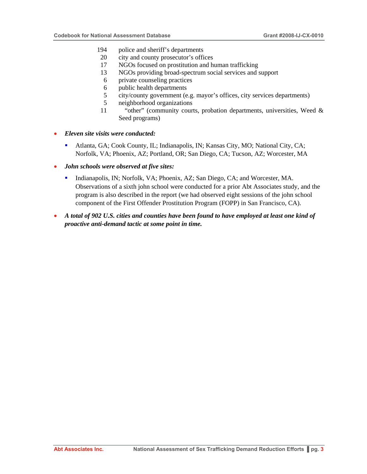- 194 police and sheriff's departments
- 20 city and county prosecutor's offices
- 17 NGOs focused on prostitution and human trafficking
- 13 NGOs providing broad-spectrum social services and support
- 6 private counseling practices
- 6 public health departments
- 5 city/county government (e.g. mayor's offices, city services departments)
- 5 neighborhood organizations
- 11 "other" (community courts, probation departments, universities, Weed & Seed programs)
- *Eleven site visits were conducted:* 
	- Atlanta, GA; Cook County, IL; Indianapolis, IN; Kansas City, MO; National City, CA; Norfolk, VA; Phoenix, AZ; Portland, OR; San Diego, CA; Tucson, AZ; Worcester, MA
- *John schools were observed at five sites:* 
	- Indianapolis, IN; Norfolk, VA; Phoenix, AZ; San Diego, CA; and Worcester, MA. Observations of a sixth john school were conducted for a prior Abt Associates study, and the program is also described in the report (we had observed eight sessions of the john school component of the First Offender Prostitution Program (FOPP) in San Francisco, CA).
- *A total of 902 U.S. cities and counties have been found to have employed at least one kind of proactive anti-demand tactic at some point in time.*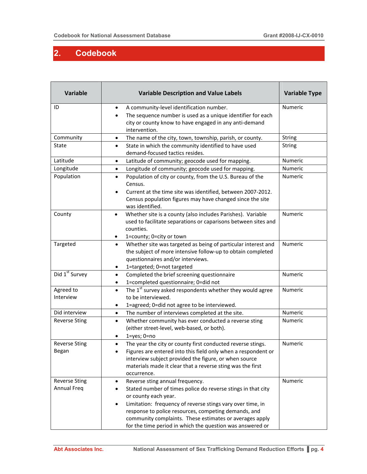т

ī

Τ

## **2. Codebook**

Г

| <b>Variable</b>                     | <b>Variable Description and Value Labels</b>                                                                                                                                                                                                                                                                                                                               | <b>Variable Type</b> |
|-------------------------------------|----------------------------------------------------------------------------------------------------------------------------------------------------------------------------------------------------------------------------------------------------------------------------------------------------------------------------------------------------------------------------|----------------------|
| ID                                  | A community-level identification number.<br>$\bullet$<br>The sequence number is used as a unique identifier for each<br>city or county know to have engaged in any anti-demand<br>intervention.                                                                                                                                                                            | Numeric              |
| Community                           | The name of the city, town, township, parish, or county.<br>$\bullet$                                                                                                                                                                                                                                                                                                      | <b>String</b>        |
| <b>State</b>                        | State in which the community identified to have used<br>٠<br>demand-focused tactics resides.                                                                                                                                                                                                                                                                               | <b>String</b>        |
| Latitude                            | Latitude of community; geocode used for mapping.<br>$\bullet$                                                                                                                                                                                                                                                                                                              | Numeric              |
| Longitude                           | Longitude of community; geocode used for mapping.<br>$\bullet$                                                                                                                                                                                                                                                                                                             | Numeric              |
| Population                          | Population of city or county, from the U.S. Bureau of the<br>$\bullet$<br>Census.<br>Current at the time site was identified, between 2007-2012.<br>$\bullet$<br>Census population figures may have changed since the site<br>was identified.                                                                                                                              | Numeric              |
| County                              | Whether site is a county (also includes Parishes). Variable<br>$\bullet$<br>used to facilitate separations or caparisons between sites and<br>counties.<br>1=county; 0=city or town<br>$\bullet$                                                                                                                                                                           | Numeric              |
| Targeted                            | Whether site was targeted as being of particular interest and<br>$\bullet$<br>the subject of more intensive follow-up to obtain completed<br>questionnaires and/or interviews.<br>1=targeted; 0=not targeted<br>٠                                                                                                                                                          | Numeric              |
| Did 1 <sup>st</sup> Survey          | Completed the brief screening questionnaire<br>$\bullet$<br>1=completed questionnaire; 0=did not<br>$\bullet$                                                                                                                                                                                                                                                              | Numeric              |
| Agreed to<br>Interview              | The $1^{st}$ survey asked respondents whether they would agree<br>$\bullet$<br>to be interviewed.<br>1=agreed; 0=did not agree to be interviewed.<br>$\bullet$                                                                                                                                                                                                             | Numeric              |
| Did interview                       | The number of interviews completed at the site.<br>$\bullet$                                                                                                                                                                                                                                                                                                               | Numeric              |
| <b>Reverse Sting</b>                | Whether community has ever conducted a reverse sting<br>$\bullet$<br>(either street-level, web-based, or both).<br>$1 = yes$ ; $0 = no$<br>٠                                                                                                                                                                                                                               | Numeric              |
| <b>Reverse Sting</b><br>Began       | The year the city or county first conducted reverse stings.<br>$\bullet$<br>Figures are entered into this field only when a respondent or<br>interview subject provided the figure, or when source<br>materials made it clear that a reverse sting was the first<br>occurrence.                                                                                            | Numeric              |
| <b>Reverse Sting</b><br>Annual Freq | Reverse sting annual frequency.<br>٠<br>Stated number of times police do reverse stings in that city<br>or county each year.<br>Limitation: frequency of reverse stings vary over time, in<br>response to police resources, competing demands, and<br>community complaints. These estimates or averages apply<br>for the time period in which the question was answered or | Numeric              |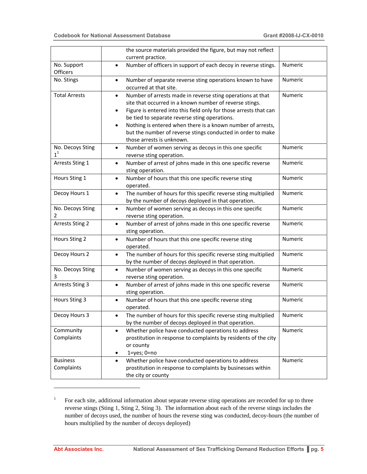|                               | the source materials provided the figure, but may not reflect<br>current practice.                                                                                                                                                                                                                                                                                                                                                            |         |
|-------------------------------|-----------------------------------------------------------------------------------------------------------------------------------------------------------------------------------------------------------------------------------------------------------------------------------------------------------------------------------------------------------------------------------------------------------------------------------------------|---------|
| No. Support<br>Officers       | Number of officers in support of each decoy in reverse stings.<br>$\bullet$                                                                                                                                                                                                                                                                                                                                                                   | Numeric |
| No. Stings                    | Number of separate reverse sting operations known to have<br>$\bullet$<br>occurred at that site.                                                                                                                                                                                                                                                                                                                                              | Numeric |
| <b>Total Arrests</b>          | Number of arrests made in reverse sting operations at that<br>$\bullet$<br>site that occurred in a known number of reverse stings.<br>Figure is entered into this field only for those arrests that can<br>$\bullet$<br>be tied to separate reverse sting operations.<br>Nothing is entered when there is a known number of arrests,<br>$\bullet$<br>but the number of reverse stings conducted in order to make<br>those arrests is unknown. | Numeric |
| No. Decoys Sting<br>$1^1$     | Number of women serving as decoys in this one specific<br>$\bullet$<br>reverse sting operation.                                                                                                                                                                                                                                                                                                                                               | Numeric |
| Arrests Sting 1               | Number of arrest of johns made in this one specific reverse<br>$\bullet$<br>sting operation.                                                                                                                                                                                                                                                                                                                                                  | Numeric |
| Hours Sting 1                 | Number of hours that this one specific reverse sting<br>$\bullet$<br>operated.                                                                                                                                                                                                                                                                                                                                                                | Numeric |
| Decoy Hours 1                 | The number of hours for this specific reverse sting multiplied<br>$\bullet$<br>by the number of decoys deployed in that operation.                                                                                                                                                                                                                                                                                                            | Numeric |
| No. Decoys Sting<br>2         | Number of women serving as decoys in this one specific<br>$\bullet$<br>reverse sting operation.                                                                                                                                                                                                                                                                                                                                               | Numeric |
| <b>Arrests Sting 2</b>        | Number of arrest of johns made in this one specific reverse<br>$\bullet$<br>sting operation.                                                                                                                                                                                                                                                                                                                                                  | Numeric |
| Hours Sting 2                 | Number of hours that this one specific reverse sting<br>$\bullet$<br>operated.                                                                                                                                                                                                                                                                                                                                                                | Numeric |
| Decoy Hours 2                 | The number of hours for this specific reverse sting multiplied<br>$\bullet$<br>by the number of decoys deployed in that operation.                                                                                                                                                                                                                                                                                                            | Numeric |
| No. Decoys Sting<br>3         | Number of women serving as decoys in this one specific<br>$\bullet$<br>reverse sting operation.                                                                                                                                                                                                                                                                                                                                               | Numeric |
| <b>Arrests Sting 3</b>        | Number of arrest of johns made in this one specific reverse<br>$\bullet$<br>sting operation.                                                                                                                                                                                                                                                                                                                                                  | Numeric |
| Hours Sting 3                 | Number of hours that this one specific reverse sting<br>$\bullet$<br>operated.                                                                                                                                                                                                                                                                                                                                                                | Numeric |
| Decoy Hours 3                 | The number of hours for this specific reverse sting multiplied<br>by the number of decoys deployed in that operation.                                                                                                                                                                                                                                                                                                                         | Numeric |
| Community<br>Complaints       | Whether police have conducted operations to address<br>$\bullet$<br>prostitution in response to complaints by residents of the city<br>or county<br>$1 = yes$ ; $0 = no$<br>٠                                                                                                                                                                                                                                                                 | Numeric |
| <b>Business</b><br>Complaints | Whether police have conducted operations to address<br>prostitution in response to complaints by businesses within<br>the city or county                                                                                                                                                                                                                                                                                                      | Numeric |

<sup>1</sup> For each site, additional information about separate reverse sting operations are recorded for up to three reverse stings (Sting 1, Sting 2, Sting 3). The information about each of the reverse stings includes the number of decoys used, the number of hours the reverse sting was conducted, decoy-hours (the number of hours multiplied by the number of decoys deployed)

l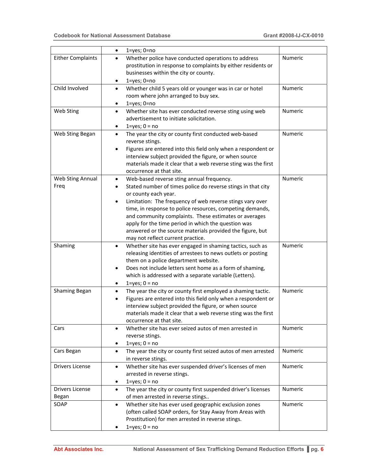|                          | $1 = yes$ ; $0 = no$<br>$\bullet$                                                                                      |         |
|--------------------------|------------------------------------------------------------------------------------------------------------------------|---------|
| <b>Either Complaints</b> | Whether police have conducted operations to address<br>$\bullet$                                                       | Numeric |
|                          | prostitution in response to complaints by either residents or                                                          |         |
|                          | businesses within the city or county.                                                                                  |         |
|                          | $1 = yes$ ; $0 = no$                                                                                                   |         |
| Child Involved           | Whether child 5 years old or younger was in car or hotel<br>$\bullet$                                                  | Numeric |
|                          | room where john arranged to buy sex.                                                                                   |         |
|                          | $1 = yes$ ; $0 = no$<br>$\bullet$                                                                                      |         |
| Web Sting                | Whether site has ever conducted reverse sting using web<br>$\bullet$                                                   | Numeric |
|                          | advertisement to initiate solicitation.                                                                                |         |
|                          | $1 = yes$ ; $0 = no$<br>٠                                                                                              |         |
| Web Sting Began          | The year the city or county first conducted web-based<br>$\bullet$                                                     | Numeric |
|                          | reverse stings.                                                                                                        |         |
|                          | Figures are entered into this field only when a respondent or<br>٠                                                     |         |
|                          | interview subject provided the figure, or when source                                                                  |         |
|                          | materials made it clear that a web reverse sting was the first                                                         |         |
|                          | occurrence at that site.                                                                                               |         |
| Web Sting Annual         | Web-based reverse sting annual frequency.<br>$\bullet$                                                                 | Numeric |
| Freq                     | Stated number of times police do reverse stings in that city                                                           |         |
|                          | or county each year.                                                                                                   |         |
|                          | Limitation: The frequency of web reverse stings vary over<br>time, in response to police resources, competing demands, |         |
|                          | and community complaints. These estimates or averages                                                                  |         |
|                          | apply for the time period in which the question was                                                                    |         |
|                          | answered or the source materials provided the figure, but                                                              |         |
|                          | may not reflect current practice.                                                                                      |         |
| Shaming                  | Whether site has ever engaged in shaming tactics, such as<br>$\bullet$                                                 | Numeric |
|                          | releasing identities of arrestees to news outlets or posting                                                           |         |
|                          | them on a police department website.                                                                                   |         |
|                          | Does not include letters sent home as a form of shaming,<br>٠                                                          |         |
|                          | which is addressed with a separate variable (Letters).                                                                 |         |
|                          | $1 = yes$ ; $0 = no$<br>$\bullet$                                                                                      |         |
| Shaming Began            | The year the city or county first employed a shaming tactic.<br>$\bullet$                                              | Numeric |
|                          | Figures are entered into this field only when a respondent or<br>$\bullet$                                             |         |
|                          | interview subject provided the figure, or when source                                                                  |         |
|                          | materials made it clear that a web reverse sting was the first                                                         |         |
|                          | occurrence at that site.                                                                                               |         |
| Cars                     | Whether site has ever seized autos of men arrested in<br>٠                                                             | Numeric |
|                          | reverse stings.                                                                                                        |         |
|                          | $1 = yes$ ; $0 = no$                                                                                                   |         |
| Cars Began               | The year the city or county first seized autos of men arrested<br>$\bullet$                                            | Numeric |
|                          | in reverse stings.                                                                                                     |         |
| <b>Drivers License</b>   | Whether site has ever suspended driver's licenses of men<br>$\bullet$                                                  | Numeric |
|                          | arrested in reverse stings.                                                                                            |         |
|                          | $1 = yes$ ; $0 = no$                                                                                                   |         |
| <b>Drivers License</b>   | The year the city or county first suspended driver's licenses<br>$\bullet$                                             | Numeric |
| Began                    | of men arrested in reverse stings                                                                                      |         |
| SOAP                     | Whether site has ever used geographic exclusion zones<br>$\bullet$                                                     | Numeric |
|                          | (often called SOAP orders, for Stay Away from Areas with                                                               |         |
|                          | Prostitution) for men arrested in reverse stings.                                                                      |         |
|                          | $1 = yes$ ; $0 = no$                                                                                                   |         |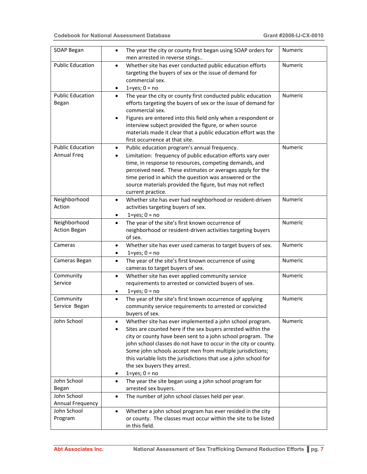| SOAP Began                                    | The year the city or county first began using SOAP orders for<br>$\bullet$<br>men arrested in reverse stings                                                                                                                                                                                                                                                                                                                                            | Numeric |
|-----------------------------------------------|---------------------------------------------------------------------------------------------------------------------------------------------------------------------------------------------------------------------------------------------------------------------------------------------------------------------------------------------------------------------------------------------------------------------------------------------------------|---------|
| <b>Public Education</b>                       | Whether site has ever conducted public education efforts<br>$\bullet$<br>targeting the buyers of sex or the issue of demand for<br>commercial sex.<br>$1 = yes$ ; $0 = no$<br>٠                                                                                                                                                                                                                                                                         | Numeric |
| <b>Public Education</b><br>Began              | The year the city or county first conducted public education<br>$\bullet$<br>efforts targeting the buyers of sex or the issue of demand for<br>commercial sex.<br>Figures are entered into this field only when a respondent or<br>$\bullet$<br>interview subject provided the figure, or when source<br>materials made it clear that a public education effort was the<br>first occurrence at that site.                                               | Numeric |
| <b>Public Education</b><br><b>Annual Freq</b> | Public education program's annual frequency.<br>٠<br>Limitation: frequency of public education efforts vary over<br>$\bullet$<br>time, in response to resources, competing demands, and<br>perceived need. These estimates or averages apply for the<br>time period in which the question was answered or the<br>source materials provided the figure, but may not reflect<br>current practice.                                                         | Numeric |
| Neighborhood<br>Action                        | Whether site has ever had neighborhood or resident-driven<br>$\bullet$<br>activities targeting buyers of sex.<br>$1 = yes$ ; $0 = no$<br>٠                                                                                                                                                                                                                                                                                                              | Numeric |
| Neighborhood<br><b>Action Began</b>           | The year of the site's first known occurrence of<br>$\bullet$<br>neighborhood or resident-driven activities targeting buyers<br>of sex.                                                                                                                                                                                                                                                                                                                 | Numeric |
| Cameras                                       | Whether site has ever used cameras to target buyers of sex.<br>٠<br>$1 = yes$ ; $0 = no$<br>٠                                                                                                                                                                                                                                                                                                                                                           | Numeric |
| Cameras Began                                 | The year of the site's first known occurrence of using<br>$\bullet$<br>cameras to target buyers of sex.                                                                                                                                                                                                                                                                                                                                                 | Numeric |
| Community<br>Service                          | Whether site has ever applied community service<br>$\bullet$<br>requirements to arrested or convicted buyers of sex.<br>$1 = yes$ ; $0 = no$<br>٠                                                                                                                                                                                                                                                                                                       | Numeric |
| Community<br>Service Began                    | The year of the site's first known occurrence of applying<br>$\bullet$<br>community service requirements to arrested or convicted<br>buyers of sex.                                                                                                                                                                                                                                                                                                     | Numeric |
| John School                                   | Whether site has ever implemented a john school program.<br>Sites are counted here if the sex buyers arrested within the<br>city or county have been sent to a john school program. The<br>john school classes do not have to occur in the city or county.<br>Some john schools accept men from multiple jurisdictions;<br>this variable lists the jurisdictions that use a john school for<br>the sex buyers they arrest.<br>$1 = yes$ ; $0 = no$<br>٠ | Numeric |
| John School<br>Began                          | The year the site began using a john school program for<br>$\bullet$<br>arrested sex buyers.                                                                                                                                                                                                                                                                                                                                                            |         |
| John School<br>Annual Frequency               | The number of john school classes held per year.<br>$\bullet$                                                                                                                                                                                                                                                                                                                                                                                           |         |
| John School<br>Program                        | Whether a john school program has ever resided in the city<br>$\bullet$<br>or county. The classes must occur within the site to be listed<br>in this field.                                                                                                                                                                                                                                                                                             |         |